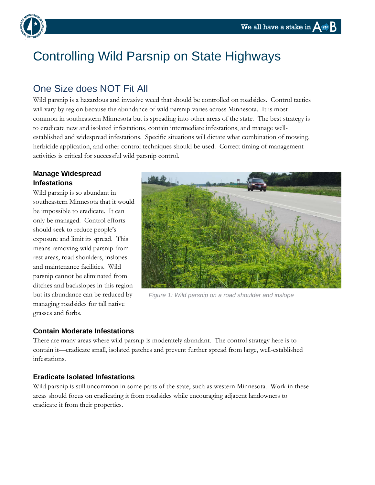

# Controlling Wild Parsnip on State Highways

## One Size does NOT Fit All

Wild parsnip is a hazardous and invasive weed that should be controlled on roadsides. Control tactics will vary by region because the abundance of wild parsnip varies across Minnesota. It is most common in southeastern Minnesota but is spreading into other areas of the state. The best strategy is to eradicate new and isolated infestations, contain intermediate infestations, and manage wellestablished and widespread infestations. Specific situations will dictate what combination of mowing, herbicide application, and other control techniques should be used. Correct timing of management activities is critical for successful wild parsnip control.

### **Manage Widespread Infestations**

Wild parsnip is so abundant in southeastern Minnesota that it would be impossible to eradicate. It can only be managed. Control efforts should seek to reduce people's exposure and limit its spread. This means removing wild parsnip from rest areas, road shoulders, inslopes and maintenance facilities. Wild parsnip cannot be eliminated from ditches and backslopes in this region but its abundance can be reduced by managing roadsides for tall native grasses and forbs.



*Figure 1: Wild parsnip on a road shoulder and inslope*

#### **Contain Moderate Infestations**

There are many areas where wild parsnip is moderately abundant. The control strategy here is to contain it—eradicate small, isolated patches and prevent further spread from large, well-established infestations.

#### **Eradicate Isolated Infestations**

Wild parsnip is still uncommon in some parts of the state, such as western Minnesota. Work in these areas should focus on eradicating it from roadsides while encouraging adjacent landowners to eradicate it from their properties.